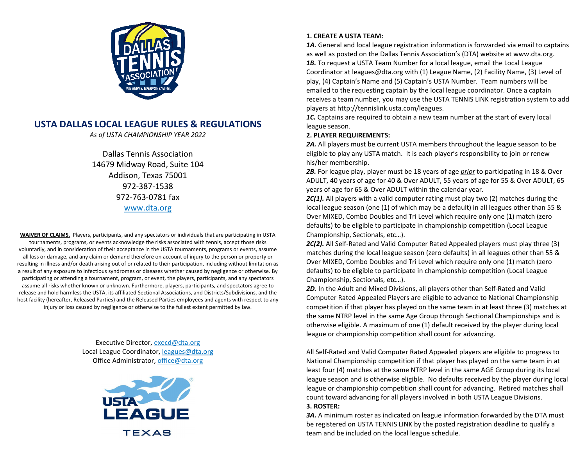

# **USTA DALLAS LOCAL LEAGUE RULES & REGULATIONS**

*As of USTA CHAMPIONSHIP YEAR 2022*

Dallas Tennis Association 14679 Midway Road, Suite 104 Addison, Texas 75001 972-387-1538 972-763-0781 fax www.dta.org

**WAIVER OF CLAIMS.** Players, participants, and any spectators or individuals that are participating in USTA tournaments, programs, or events acknowledge the risks associated with tennis, accept those risks voluntarily, and in consideration of their acceptance in the USTA tournaments, programs or events, assume all loss or damage, and any claim or demand therefore on account of injury to the person or property or resulting in illness and/or death arising out of or related to their participation, including without limitation as a result of any exposure to infectious syndromes or diseases whether caused by negligence or otherwise. By participating or attending a tournament, program, or event, the players, participants, and any spectators assume all risks whether known or unknown. Furthermore, players, participants, and spectators agree to release and hold harmless the USTA, its affiliated Sectional Associations, and Districts/Subdivisions, and the host facility (hereafter, Released Parties) and the Released Parties employees and agents with respect to any injury or loss caused by negligence or otherwise to the fullest extent permitted by law.

> Executive Director, [execd@dta.org](mailto:execd@dta.org) Local League Coordinator, leagues@dta.org Office Administrator, office@dta.org



## **1. CREATE A USTA TEAM:**

*1A.* General and local league registration information is forwarded via email to captains as well as posted on the Dallas Tennis Association's (DTA) website at www.dta.org. *1B.* To request a USTA Team Number for a local league, email the Local League Coordinator at leagues@dta.org with (1) League Name, (2) Facility Name, (3) Level of play, (4) Captain's Name and (5) Captain's USTA Number. Team numbers will be emailed to the requesting captain by the local league coordinator. Once a captain receives a team number, you may use the USTA TENNIS LINK registration system to add players at http://tennislink.usta.com/leagues.

*1C.* Captains are required to obtain a new team number at the start of every local league season.

#### **2. PLAYER REQUIREMENTS:**

*2A.* All players must be current USTA members throughout the league season to be eligible to play any USTA match. It is each player's responsibility to join or renew his/her membership.

*2B.* For league play, player must be 18 years of age *prior* to participating in 18 & Over ADULT, 40 years of age for 40 & Over ADULT, 55 years of age for 55 & Over ADULT, 65 years of age for 65 & Over ADULT within the calendar year.

*2C(1).* All players with a valid computer rating must play two (2) matches during the local league season (one (1) of which may be a default) in all leagues other than 55 & Over MIXED, Combo Doubles and Tri Level which require only one (1) match (zero defaults) to be eligible to participate in championship competition (Local League Championship, Sectionals, etc…).

*2C(2).* All Self-Rated and Valid Computer Rated Appealed players must play three (3) matches during the local league season (zero defaults) in all leagues other than 55 & Over MIXED, Combo Doubles and Tri Level which require only one (1) match (zero defaults) to be eligible to participate in championship competition (Local League Championship, Sectionals, etc…).

*2D.* In the Adult and Mixed Divisions, all players other than Self-Rated and Valid Computer Rated Appealed Players are eligible to advance to National Championship competition if that player has played on the same team in at least three (3) matches at the same NTRP level in the same Age Group through Sectional Championships and is otherwise eligible. A maximum of one (1) default received by the player during local league or championship competition shall count for advancing.

All Self-Rated and Valid Computer Rated Appealed players are eligible to progress to National Championship competition if that player has played on the same team in at least four (4) matches at the same NTRP level in the same AGE Group during its local league season and is otherwise eligible. No defaults received by the player during local league or championship competition shall count for advancing. Retired matches shall count toward advancing for all players involved in both USTA League Divisions.

#### **3. ROSTER:**

*3A.* A minimum roster as indicated on league information forwarded by the DTA must be registered on USTA TENNIS LINK by the posted registration deadline to qualify a team and be included on the local league schedule.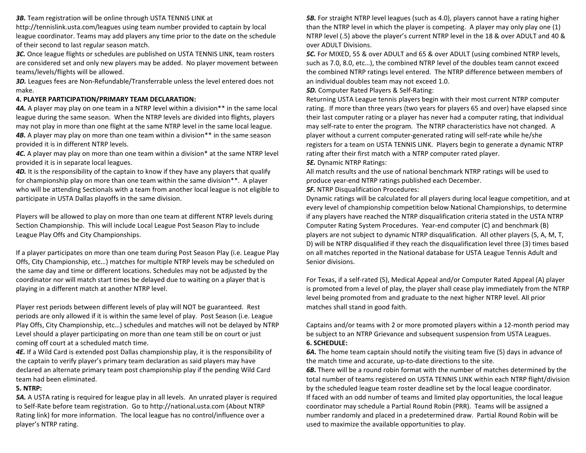*3B.* Team registration will be online through USTA TENNIS LINK at

http://tennislink.usta.com/leagues using team number provided to captain by local league coordinator. Teams may add players any time prior to the date on the schedule of their second to last regular season match.

*3C.* Once league flights or schedules are published on USTA TENNIS LINK, team rosters are considered set and only new players may be added. No player movement between teams/levels/flights will be allowed.

*3D.* Leagues fees are Non-Refundable/Transferrable unless the level entered does not make.

#### **4. PLAYER PARTICIPATION/PRIMARY TEAM DECLARATION:**

**44.** A player may play on one team in a NTRP level within a division<sup>\*\*</sup> in the same local league during the same season. When the NTRP levels are divided into flights, players may not play in more than one flight at the same NTRP level in the same local league. *4B.* A player may play on more than one team within a division\*\* in the same season provided it is in different NTRP levels.

4C. A player may play on more than one team within a division<sup>\*</sup> at the same NTRP level provided it is in separate local leagues.

*4D.* It is the responsibility of the captain to know if they have any players that qualify for championship play on more than one team within the same division\*\*. A player who will be attending Sectionals with a team from another local league is not eligible to participate in USTA Dallas playoffs in the same division.

Players will be allowed to play on more than one team at different NTRP levels during Section Championship. This will include Local League Post Season Play to include League Play Offs and City Championships.

If a player participates on more than one team during Post Season Play (i.e. League Play Offs, City Championship, etc…) matches for multiple NTRP levels may be scheduled on the same day and time or different locations. Schedules may not be adjusted by the coordinator nor will match start times be delayed due to waiting on a player that is playing in a different match at another NTRP level.

Player rest periods between different levels of play will NOT be guaranteed. Rest periods are only allowed if it is within the same level of play. Post Season (i.e. League Play Offs, City Championship, etc…) schedules and matches will not be delayed by NTRP Level should a player participating on more than one team still be on court or just coming off court at a scheduled match time.

*4E.* If a Wild Card is extended post Dallas championship play, it is the responsibility of the captain to verify player's primary team declaration as said players may have declared an alternate primary team post championship play if the pending Wild Card team had been eliminated.

#### **5. NTRP:**

*5A.* A USTA rating is required for league play in all levels. An unrated player is required to Self-Rate before team registration. Go to http://national.usta.com (About NTRP Rating link) for more information. The local league has no control/influence over a player's NTRP rating.

*5B.* For straight NTRP level leagues (such as 4.0), players cannot have a rating higher than the NTRP level in which the player is competing. A player may only play one (1) NTRP level (.5) above the player's current NTRP level in the 18 & over ADULT and 40 & over ADULT Divisions.

*5C.* For MIXED, 55 & over ADULT and 65 & over ADULT (using combined NTRP levels, such as 7.0, 8.0, etc…), the combined NTRP level of the doubles team cannot exceed the combined NTRP ratings level entered. The NTRP difference between members of an individual doubles team may not exceed 1.0.

*5D.* Computer Rated Players & Self-Rating:

Returning USTA League tennis players begin with their most current NTRP computer rating. If more than three years (two years for players 65 and over) have elapsed since their last computer rating or a player has never had a computer rating, that individual may self-rate to enter the program. The NTRP characteristics have not changed. A player without a current computer-generated rating will self-rate while he/she registers for a team on USTA TENNIS LINK. Players begin to generate a dynamic NTRP rating after their first match with a NTRP computer rated player.

*5E.* Dynamic NTRP Ratings:

All match results and the use of national benchmark NTRP ratings will be used to produce year-end NTRP ratings published each December.

**5F.** NTRP Disqualification Procedures:

Dynamic ratings will be calculated for all players during local league competition, and at every level of championship competition below National Championships, to determine if any players have reached the NTRP disqualification criteria stated in the USTA NTRP Computer Rating System Procedures. Year-end computer (C) and benchmark (B) players are not subject to dynamic NTRP disqualification. All other players (S, A, M, T, D) will be NTRP disqualified if they reach the disqualification level three (3) times based on all matches reported in the National database for USTA League Tennis Adult and Senior divisions.

For Texas, if a self-rated (S), Medical Appeal and/or Computer Rated Appeal (A) player is promoted from a level of play, the player shall cease play immediately from the NTRP level being promoted from and graduate to the next higher NTRP level. All prior matches shall stand in good faith.

Captains and/or teams with 2 or more promoted players within a 12-month period may be subject to an NTRP Grievance and subsequent suspension from USTA Leagues. **6. SCHEDULE:**

*6A.* The home team captain should notify the visiting team five (5) days in advance of the match time and accurate, up-to-date directions to the site.

*6B.* There will be a round robin format with the number of matches determined by the total number of teams registered on USTA TENNIS LINK within each NTRP flight/division by the scheduled league team roster deadline set by the local league coordinator. If faced with an odd number of teams and limited play opportunities, the local league coordinator may schedule a Partial Round Robin (PRR). Teams will be assigned a number randomly and placed in a predetermined draw. Partial Round Robin will be used to maximize the available opportunities to play.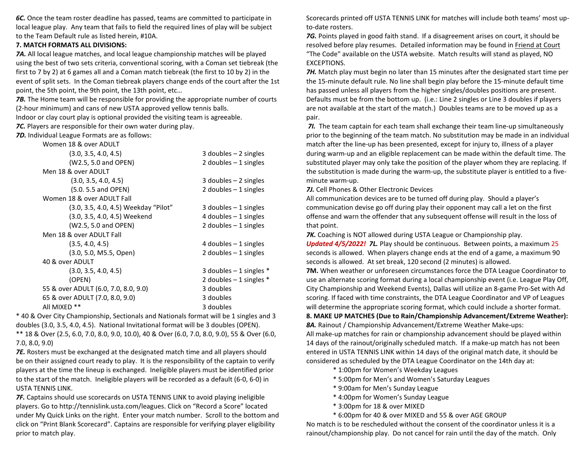*6C.* Once the team roster deadline has passed, teams are committed to participate in local league play. Any team that fails to field the required lines of play will be subject to the Team Default rule as listed herein, #10A.

#### **7. MATCH FORMATS ALL DIVISIONS:**

*7A.* All local league matches, and local league championship matches will be played using the best of two sets criteria, conventional scoring, with a Coman set tiebreak (the first to 7 by 2) at 6 games all and a Coman match tiebreak (the first to 10 by 2) in the event of split sets. In the Coman tiebreak players change ends of the court after the 1st point, the 5th point, the 9th point, the 13th point, etc…

*7B.* The Home team will be responsible for providing the appropriate number of courts (2-hour minimum) and cans of new USTA approved yellow tennis balls.

Indoor or clay court play is optional provided the visiting team is agreeable.

*7C.* Players are responsible for their own water during play.

*7D.* Individual League Formats are as follows:

| 3 doubles $-2$ singles     |
|----------------------------|
| 2 doubles $-1$ singles     |
|                            |
| 3 doubles $-2$ singles     |
| 2 doubles $-1$ singles     |
|                            |
| $3$ doubles $-1$ singles   |
| 4 doubles $-1$ singles     |
| 2 doubles $-1$ singles     |
|                            |
| 4 doubles $-1$ singles     |
| 2 doubles $-1$ singles     |
|                            |
| 3 doubles $-1$ singles $*$ |
| 2 doubles $-1$ singles $*$ |
| 3 doubles                  |
| 3 doubles                  |
| 3 doubles                  |
|                            |

\* 40 & Over City Championship, Sectionals and Nationals format will be 1 singles and 3 doubles (3.0, 3.5, 4.0, 4.5). National Invitational format will be 3 doubles (OPEN). \*\* 18 & Over (2.5, 6.0, 7.0, 8.0, 9.0, 10.0), 40 & Over (6.0, 7.0, 8.0, 9.0), 55 & Over (6.0, 7.0, 8.0, 9.0)

*7E.* Rosters must be exchanged at the designated match time and all players should be on their assigned court ready to play. It is the responsibility of the captain to verify players at the time the lineup is exchanged. Ineligible players must be identified prior to the start of the match. Ineligible players will be recorded as a default (6-0, 6-0) in USTA TENNIS LINK.

*7F.* Captains should use scorecards on USTA TENNIS LINK to avoid playing ineligible players. Go to http://tennislink.usta.com/leagues. Click on "Record a Score" located under My Quick Links on the right. Enter your match number. Scroll to the bottom and click on "Print Blank Scorecard". Captains are responsible for verifying player eligibility prior to match play.

Scorecards printed off USTA TENNIS LINK for matches will include both teams' most upto-date rosters.

*7G.* Points played in good faith stand. If a disagreement arises on court, it should be resolved before play resumes. Detailed information may be found in Friend at Court "The Code" available on the USTA website. Match results will stand as played, NO EXCEPTIONS.

*7H.* Match play must begin no later than 15 minutes after the designated start time per the 15-minute default rule. No line shall begin play before the 15-minute default time has passed unless all players from the higher singles/doubles positions are present. Defaults must be from the bottom up. (i.e.: Line 2 singles or Line 3 doubles if players are not available at the start of the match.) Doubles teams are to be moved up as a pair.

*7I.* The team captain for each team shall exchange their team line-up simultaneously prior to the beginning of the team match. No substitution may be made in an individual match after the line-up has been presented, except for injury to, illness of a player during warm-up and an eligible replacement can be made within the default time. The substituted player may only take the position of the player whom they are replacing. If the substitution is made during the warm-up, the substitute player is entitled to a fiveminute warm-up.

*7J.* Cell Phones & Other Electronic Devices

All communication devices are to be turned off during play. Should a player's communication devise go off during play their opponent may call a let on the first offense and warn the offender that any subsequent offense will result in the loss of that point.

*7K.* Coaching is NOT allowed during USTA League or Championship play.

*Updated 4/5/2022! 7L.* Play should be continuous. Between points, a maximum 25 seconds is allowed. When players change ends at the end of a game, a maximum 90 seconds is allowed. At set break, 120 second (2 minutes) is allowed.

**7M.** When weather or unforeseen circumstances force the DTA League Coordinator to use an alternate scoring format during a local championship event (i.e. League Play Off, City Championship and Weekend Events), Dallas will utilize an 8-game Pro-Set with Ad scoring. If faced with time constraints, the DTA League Coordinator and VP of Leagues will determine the appropriate scoring format, which could include a shorter format.

**8. MAKE UP MATCHES (Due to Rain/Championship Advancement/Extreme Weather):** *8A.* Rainout / Championship Advancement/Extreme Weather Make-ups:

All make-up matches for rain or championship advancement should be played within 14 days of the rainout/originally scheduled match. If a make-up match has not been entered in USTA TENNIS LINK within 14 days of the original match date, it should be considered as scheduled by the DTA League Coordinator on the 14th day at:

- \* 1:00pm for Women's Weekday Leagues
- \* 5:00pm for Men's and Women's Saturday Leagues
- \* 9:00am for Men's Sunday League
- \* 4:00pm for Women's Sunday League
- \* 3:00pm for 18 & over MIXED

\* 6:00pm for 40 & over MIXED and 55 & over AGE GROUP

No match is to be rescheduled without the consent of the coordinator unless it is a rainout/championship play. Do not cancel for rain until the day of the match. Only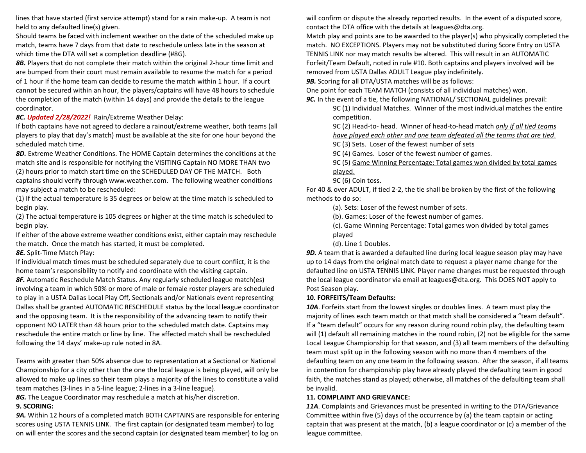lines that have started (first service attempt) stand for a rain make-up. A team is not held to any defaulted line(s) given.

Should teams be faced with inclement weather on the date of the scheduled make up match, teams have 7 days from that date to reschedule unless late in the season at which time the DTA will set a completion deadline (#8G).

*8B.* Players that do not complete their match within the original 2-hour time limit and are bumped from their court must remain available to resume the match for a period of 1 hour if the home team can decide to resume the match within 1 hour. If a court cannot be secured within an hour, the players/captains will have 48 hours to schedule the completion of the match (within 14 days) and provide the details to the league coordinator.

#### *8C. Updated 2/28/2022!* Rain/Extreme Weather Delay:

If both captains have not agreed to declare a rainout/extreme weather, both teams (all players to play that day's match) must be available at the site for one hour beyond the scheduled match time.

*8D.* Extreme Weather Conditions. The HOME Captain determines the conditions at the match site and is responsible for notifying the VISITING Captain NO MORE THAN two (2) hours prior to match start time on the SCHEDULED DAY OF THE MATCH. Both captains should verify through www.weather.com. The following weather conditions may subject a match to be rescheduled:

(1) If the actual temperature is 35 degrees or below at the time match is scheduled to begin play.

(2) The actual temperature is 105 degrees or higher at the time match is scheduled to begin play.

If either of the above extreme weather conditions exist, either captain may reschedule the match. Once the match has started, it must be completed.

*8E.* Split-Time Match Play:

If individual match times must be scheduled separately due to court conflict, it is the home team's responsibility to notify and coordinate with the visiting captain. *8F.* Automatic Reschedule Match Status. Any regularly scheduled league match(es)

involving a team in which 50% or more of male or female roster players are scheduled to play in a USTA Dallas Local Play Off, Sectionals and/or Nationals event representing Dallas shall be granted AUTOMATIC RESCHEDULE status by the local league coordinator and the opposing team. It is the responsibility of the advancing team to notify their opponent NO LATER than 48 hours prior to the scheduled match date. Captains may reschedule the entire match or line by line. The affected match shall be rescheduled following the 14 days' make-up rule noted in 8A.

Teams with greater than 50% absence due to representation at a Sectional or National Championship for a city other than the one the local league is being played, will only be allowed to make up lines so their team plays a majority of the lines to constitute a valid team matches (3-lines in a 5-line league; 2-lines in a 3-line league).

*8G.* The League Coordinator may reschedule a match at his/her discretion.

#### **9. SCORING:**

*9A.* Within 12 hours of a completed match BOTH CAPTAINS are responsible for entering scores using USTA TENNIS LINK. The first captain (or designated team member) to log on will enter the scores and the second captain (or designated team member) to log on

will confirm or dispute the already reported results. In the event of a disputed score, contact the DTA office with the details at leagues@dta.org.

Match play and points are to be awarded to the player(s) who physically completed the match. NO EXCEPTIONS. Players may not be substituted during Score Entry on USTA TENNIS LINK nor may match results be altered. This will result in an AUTOMATIC Forfeit/Team Default, noted in rule #10. Both captains and players involved will be removed from USTA Dallas ADULT League play indefinitely.

*9B.* Scoring for all DTA/USTA matches will be as follows:

One point for each TEAM MATCH (consists of all individual matches) won.

*9C.* In the event of a tie, the following NATIONAL/ SECTIONAL guidelines prevail:

9C (1) Individual Matches. Winner of the most individual matches the entire competition.

9C (2) Head-to- head. Winner of head-to-head match *only if all tied teams have played each other and one team defeated all the teams that are tied*.

9C (3) Sets. Loser of the fewest number of sets

9C (4) Games. Loser of the fewest number of games.

9C (5) Game Winning Percentage: Total games won divided by total games played.

9C (6) Coin toss.

For 40 & over ADULT, if tied 2-2, the tie shall be broken by the first of the following methods to do so:

(a). Sets: Loser of the fewest number of sets.

(b). Games: Loser of the fewest number of games.

(c). Game Winning Percentage: Total games won divided by total games played

(d). Line 1 Doubles.

*9D.* A team that is awarded a defaulted line during local league season play may have up to 14 days from the original match date to request a player name change for the defaulted line on USTA TENNIS LINK. Player name changes must be requested through the local league coordinator via email at leagues@dta.org. This DOES NOT apply to Post Season play.

## **10. FORFEITS/Team Defaults:**

*10A*. Forfeits start from the lowest singles or doubles lines. A team must play the majority of lines each team match or that match shall be considered a "team default". If a "team default" occurs for any reason during round robin play, the defaulting team will (1) default all remaining matches in the round robin, (2) not be eligible for the same Local League Championship for that season, and (3) all team members of the defaulting team must split up in the following season with no more than 4 members of the defaulting team on any one team in the following season. After the season, if all teams in contention for championship play have already played the defaulting team in good faith, the matches stand as played; otherwise, all matches of the defaulting team shall be invalid.

## **11. COMPLAINT AND GRIEVANCE:**

*11A*. Complaints and Grievances must be presented in writing to the DTA/Grievance Committee within five (5) days of the occurrence by (a) the team captain or acting captain that was present at the match, (b) a league coordinator or (c) a member of the league committee.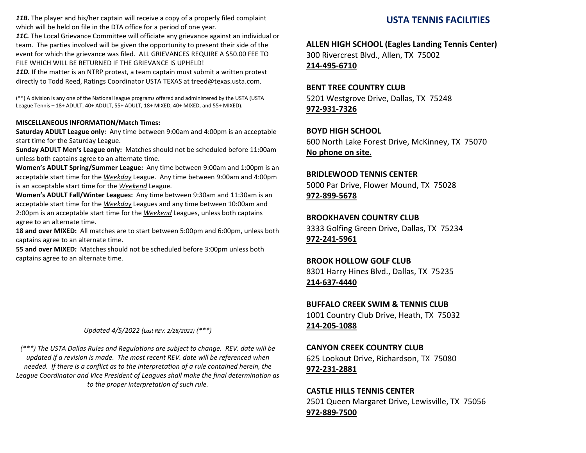11B. The player and his/her captain will receive a copy of a properly filed complaint which will be held on file in the DTA office for a period of one year.

*11C.* The Local Grievance Committee will officiate any grievance against an individual or team. The parties involved will be given the opportunity to present their side of the event for which the grievance was filed. ALL GRIEVANCES REQUIRE A \$50.00 FEE TO FILE WHICH WILL BE RETURNED IF THE GRIEVANCE IS UPHELD!

*11D.* If the matter is an NTRP protest, a team captain must submit a written protest directly to Todd Reed, Ratings Coordinator USTA TEXAS at treed@texas.usta.com.

(\*\*) A division is any one of the National league programs offered and administered by the USTA (USTA League Tennis – 18+ ADULT, 40+ ADULT, 55+ ADULT, 18+ MIXED, 40+ MIXED, and 55+ MIXED).

#### **MISCELLANEOUS INFORMATION/Match Times:**

**Saturday ADULT League only:** Any time between 9:00am and 4:00pm is an acceptable start time for the Saturday League.

**Sunday ADULT Men's League only:** Matches should not be scheduled before 11:00am unless both captains agree to an alternate time.

**Women's ADULT Spring/Summer League:** Any time between 9:00am and 1:00pm is an acceptable start time for the *Weekday* League. Any time between 9:00am and 4:00pm is an acceptable start time for the *Weekend* League.

**Women's ADULT Fall/Winter Leagues:** Any time between 9:30am and 11:30am is an acceptable start time for the *Weekday* Leagues and any time between 10:00am and 2:00pm is an acceptable start time for the *Weekend* Leagues, unless both captains agree to an alternate time.

**18 and over MIXED:** All matches are to start between 5:00pm and 6:00pm, unless both captains agree to an alternate time.

**55 and over MIXED:** Matches should not be scheduled before 3:00pm unless both captains agree to an alternate time.

#### *Updated 4/5/2022 (Last REV. 2/28/2022) (\*\*\*)*

*(\*\*\*) The USTA Dallas Rules and Regulations are subject to change. REV. date will be updated if a revision is made. The most recent REV. date will be referenced when needed. If there is a conflict as to the interpretation of a rule contained herein, the League Coordinator and Vice President of Leagues shall make the final determination as to the proper interpretation of such rule.*

# **USTA TENNIS FACILITIES**

**ALLEN HIGH SCHOOL (Eagles Landing Tennis Center)** 300 Rivercrest Blvd., Allen, TX 75002

# **214-495-6710**

## **BENT TREE COUNTRY CLUB**

5201 Westgrove Drive, Dallas, TX 75248 **972-931-7326**

## **BOYD HIGH SCHOOL**

600 North Lake Forest Drive, McKinney, TX 75070 **No phone on site.**

# **BRIDLEWOOD TENNIS CENTER**

5000 Par Drive, Flower Mound, TX 75028 **972-899-5678**

#### **BROOKHAVEN COUNTRY CLUB**

3333 Golfing Green Drive, Dallas, TX 75234 **972-241-5961**

# **BROOK HOLLOW GOLF CLUB** 8301 Harry Hines Blvd., Dallas, TX 75235 **214-637-4440**

**BUFFALO CREEK SWIM & TENNIS CLUB** 1001 Country Club Drive, Heath, TX 75032 **214-205-1088**

**CANYON CREEK COUNTRY CLUB**  625 Lookout Drive, Richardson, TX 75080 **972-231-2881**

**CASTLE HILLS TENNIS CENTER** 2501 Queen Margaret Drive, Lewisville, TX 75056 **972-889-7500**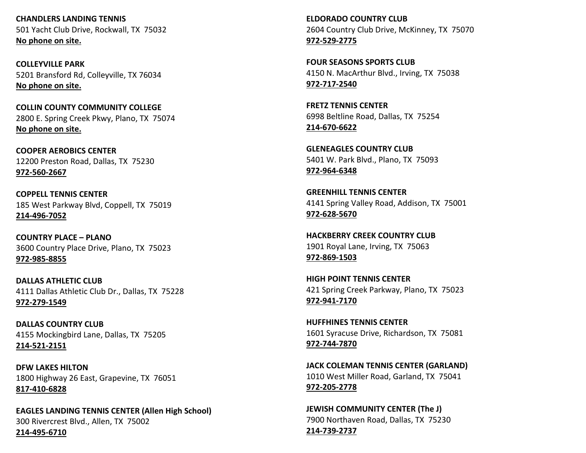**CHANDLERS LANDING TENNIS**  501 Yacht Club Drive, Rockwall, TX 75032 **No phone on site.**

**COLLEYVILLE PARK** 5201 Bransford Rd, Colleyville, TX 76034 **No phone on site.**

**COLLIN COUNTY COMMUNITY COLLEGE**  2800 E. Spring Creek Pkwy, Plano, TX 75074 **No phone on site.** 

**COOPER AEROBICS CENTER**  12200 Preston Road, Dallas, TX 75230 **972-560-2667**

**COPPELL TENNIS CENTER**  185 West Parkway Blvd, Coppell, TX 75019 **214-496-7052** 

**COUNTRY PLACE – PLANO** 3600 Country Place Drive, Plano, TX 75023 **972-985-8855**

**DALLAS ATHLETIC CLUB**  4111 Dallas Athletic Club Dr., Dallas, TX 75228 **972-279-1549** 

**DALLAS COUNTRY CLUB** 4155 Mockingbird Lane, Dallas, TX 75205 **214-521-2151**

**DFW LAKES HILTON**  1800 Highway 26 East, Grapevine, TX 76051 **817-410-6828**

**EAGLES LANDING TENNIS CENTER (Allen High School)** 300 Rivercrest Blvd., Allen, TX 75002 **214-495-6710**

**ELDORADO COUNTRY CLUB** 2604 Country Club Drive, McKinney, TX 75070 **972-529-2775**

**FOUR SEASONS SPORTS CLUB**  4150 N. MacArthur Blvd., Irving, TX 75038 **972-717-2540**

**FRETZ TENNIS CENTER**  6998 Beltline Road, Dallas, TX 75254 **214-670-6622**

**GLENEAGLES COUNTRY CLUB**  5401 W. Park Blvd., Plano, TX 75093 **972-964-6348**

**GREENHILL TENNIS CENTER**  4141 Spring Valley Road, Addison, TX 75001 **972-628-5670**

**HACKBERRY CREEK COUNTRY CLUB**  1901 Royal Lane, Irving, TX 75063 **972-869-1503**

**HIGH POINT TENNIS CENTER**  421 Spring Creek Parkway, Plano, TX 75023 **972-941-7170**

**HUFFHINES TENNIS CENTER**  1601 Syracuse Drive, Richardson, TX 75081 **972-744-7870**

**JACK COLEMAN TENNIS CENTER (GARLAND)**  1010 West Miller Road, Garland, TX 75041 **972-205-2778**

**JEWISH COMMUNITY CENTER (The J)**  7900 Northaven Road, Dallas, TX 75230 **214-739-2737**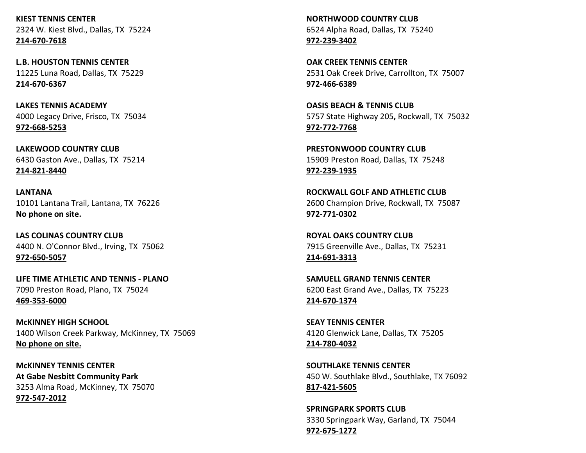**KIEST TENNIS CENTER**  2324 W. Kiest Blvd., Dallas, TX 75224 **214-670-7618** 

**L.B. HOUSTON TENNIS CENTER**  11225 Luna Road, Dallas, TX 75229 **214-670-6367**

**LAKES TENNIS ACADEMY**  4000 Legacy Drive, Frisco, TX 75034 **972-668-5253**

**LAKEWOOD COUNTRY CLUB**  6430 Gaston Ave., Dallas, TX 75214 **214-821-8440**

**LANTANA** 10101 Lantana Trail, Lantana, TX 76226 **No phone on site.**

**LAS COLINAS COUNTRY CLUB**  4400 N. O'Connor Blvd., Irving, TX 75062 **972-650-5057**

**LIFE TIME ATHLETIC AND TENNIS - PLANO**  7090 Preston Road, Plano, TX 75024 **469-353-6000**

**McKINNEY HIGH SCHOOL** 1400 Wilson Creek Parkway, McKinney, TX 75069 **No phone on site.**

**McKINNEY TENNIS CENTER At Gabe Nesbitt Community Park**  3253 Alma Road, McKinney, TX 75070 **972-547-2012**

**NORTHWOOD COUNTRY CLUB**  6524 Alpha Road, Dallas, TX 75240 **972-239-3402**

**OAK CREEK TENNIS CENTER**  2531 Oak Creek Drive, Carrollton, TX 75007 **972-466-6389**

**OASIS BEACH & TENNIS CLUB**  5757 State Highway 205**,** Rockwall, TX 75032 **972-772-7768**

**PRESTONWOOD COUNTRY CLUB**  15909 Preston Road, Dallas, TX 75248 **972-239-1935**

**ROCKWALL GOLF AND ATHLETIC CLUB** 2600 Champion Drive, Rockwall, TX 75087 **972-771-0302**

**ROYAL OAKS COUNTRY CLUB**  7915 Greenville Ave., Dallas, TX 75231 **214-691-3313**

**SAMUELL GRAND TENNIS CENTER**  6200 East Grand Ave., Dallas, TX 75223 **214-670-1374**

**SEAY TENNIS CENTER**  4120 Glenwick Lane, Dallas, TX 75205 **214-780-4032**

**SOUTHLAKE TENNIS CENTER** 450 W. Southlake Blvd., Southlake, TX 76092 **817-421-5605**

**SPRINGPARK SPORTS CLUB**  3330 Springpark Way, Garland, TX 75044 **972-675-1272**